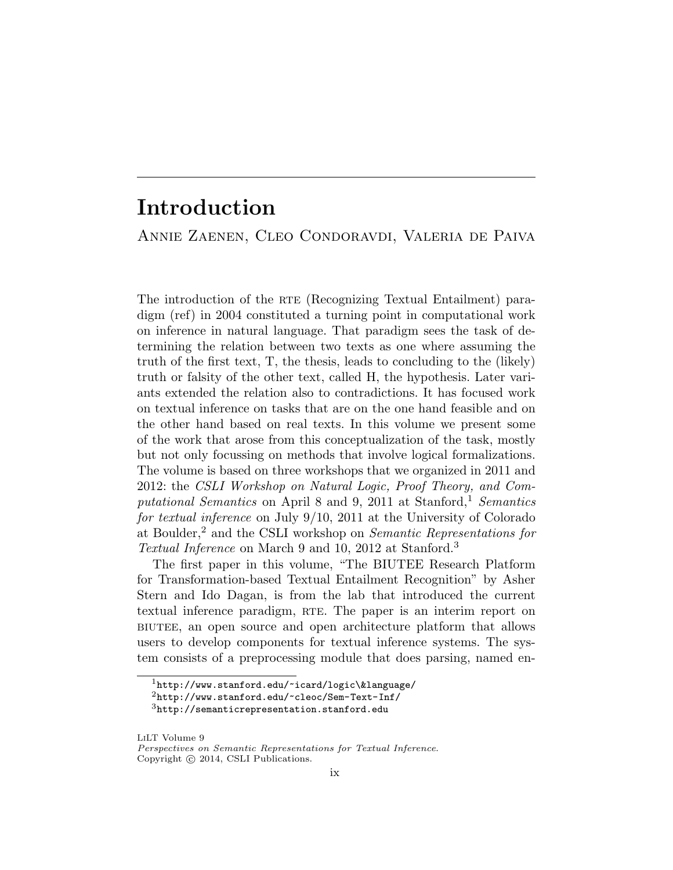# Introduction

Annie Zaenen, Cleo Condoravdi, Valeria de Paiva

The introduction of the RTE (Recognizing Textual Entailment) paradigm (ref) in 2004 constituted a turning point in computational work on inference in natural language. That paradigm sees the task of determining the relation between two texts as one where assuming the truth of the first text, T, the thesis, leads to concluding to the (likely) truth or falsity of the other text, called H, the hypothesis. Later variants extended the relation also to contradictions. It has focused work on textual inference on tasks that are on the one hand feasible and on the other hand based on real texts. In this volume we present some of the work that arose from this conceptualization of the task, mostly but not only focussing on methods that involve logical formalizations. The volume is based on three workshops that we organized in 2011 and 2012: the *CSLI Workshop on Natural Logic, Proof Theory, and Com*putational Semantics on April 8 and 9, 2011 at Stanford,<sup>1</sup> Semantics *for textual inference* on July 9/10, 2011 at the University of Colorado at Boulder,<sup>2</sup> and the CSLI workshop on *Semantic Representations for Textual Inference* on March 9 and 10, 2012 at Stanford.<sup>3</sup>

The first paper in this volume, "The BIUTEE Research Platform for Transformation-based Textual Entailment Recognition" by Asher Stern and Ido Dagan, is from the lab that introduced the current textual inference paradigm, rte. The paper is an interim report on biutee, an open source and open architecture platform that allows users to develop components for textual inference systems. The system consists of a preprocessing module that does parsing, named en-

LiLT Volume 9

 $1$ http://www.stanford.edu/~icard/logic\&language/

<sup>2</sup>http://www.stanford.edu/~cleoc/Sem-Text-Inf/

<sup>3</sup>http://semanticrepresentation.stanford.edu

*Perspectives on Semantic Representations for Textual Inference*. Copyright @ 2014, CSLI Publications.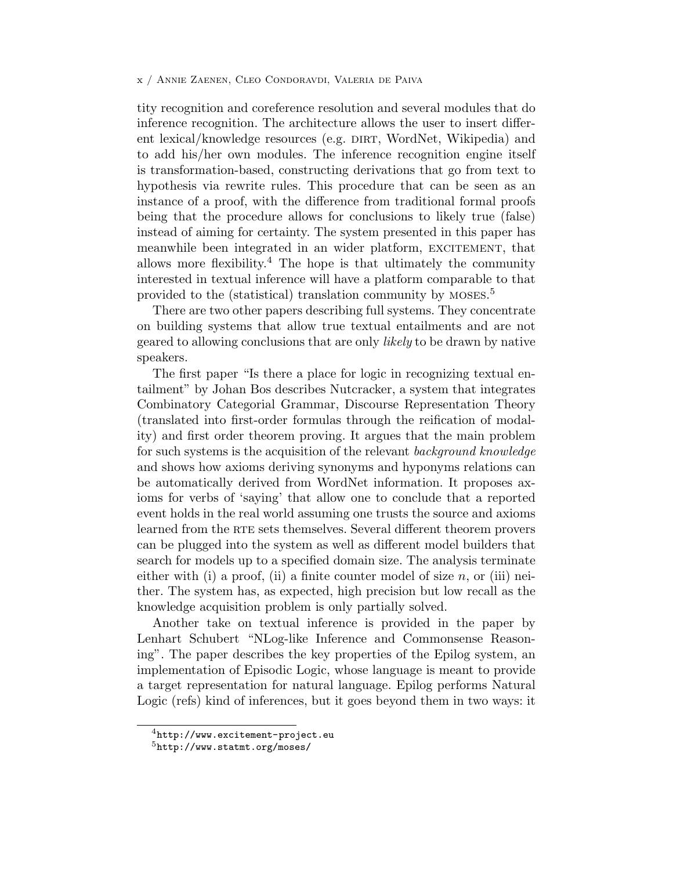### x / Annie Zaenen, Cleo Condoravdi, Valeria de Paiva

tity recognition and coreference resolution and several modules that do inference recognition. The architecture allows the user to insert different lexical/knowledge resources (e.g. DIRT, WordNet, Wikipedia) and to add his/her own modules. The inference recognition engine itself is transformation-based, constructing derivations that go from text to hypothesis via rewrite rules. This procedure that can be seen as an instance of a proof, with the difference from traditional formal proofs being that the procedure allows for conclusions to likely true (false) instead of aiming for certainty. The system presented in this paper has meanwhile been integrated in an wider platform, EXCITEMENT, that allows more flexibility.<sup>4</sup> The hope is that ultimately the community interested in textual inference will have a platform comparable to that provided to the (statistical) translation community by MOSES.<sup>5</sup>

There are two other papers describing full systems. They concentrate on building systems that allow true textual entailments and are not geared to allowing conclusions that are only *likely* to be drawn by native speakers.

The first paper "Is there a place for logic in recognizing textual entailment" by Johan Bos describes Nutcracker, a system that integrates Combinatory Categorial Grammar, Discourse Representation Theory (translated into first-order formulas through the reification of modality) and first order theorem proving. It argues that the main problem for such systems is the acquisition of the relevant *background knowledge* and shows how axioms deriving synonyms and hyponyms relations can be automatically derived from WordNet information. It proposes axioms for verbs of 'saying' that allow one to conclude that a reported event holds in the real world assuming one trusts the source and axioms learned from the RTE sets themselves. Several different theorem provers can be plugged into the system as well as different model builders that search for models up to a specified domain size. The analysis terminate either with (i) a proof, (ii) a finite counter model of size *n*, or (iii) neither. The system has, as expected, high precision but low recall as the knowledge acquisition problem is only partially solved.

Another take on textual inference is provided in the paper by Lenhart Schubert "NLog-like Inference and Commonsense Reasoning". The paper describes the key properties of the Epilog system, an implementation of Episodic Logic, whose language is meant to provide a target representation for natural language. Epilog performs Natural Logic (refs) kind of inferences, but it goes beyond them in two ways: it

<sup>4</sup>http://www.excitement-project.eu

<sup>5</sup>http://www.statmt.org/moses/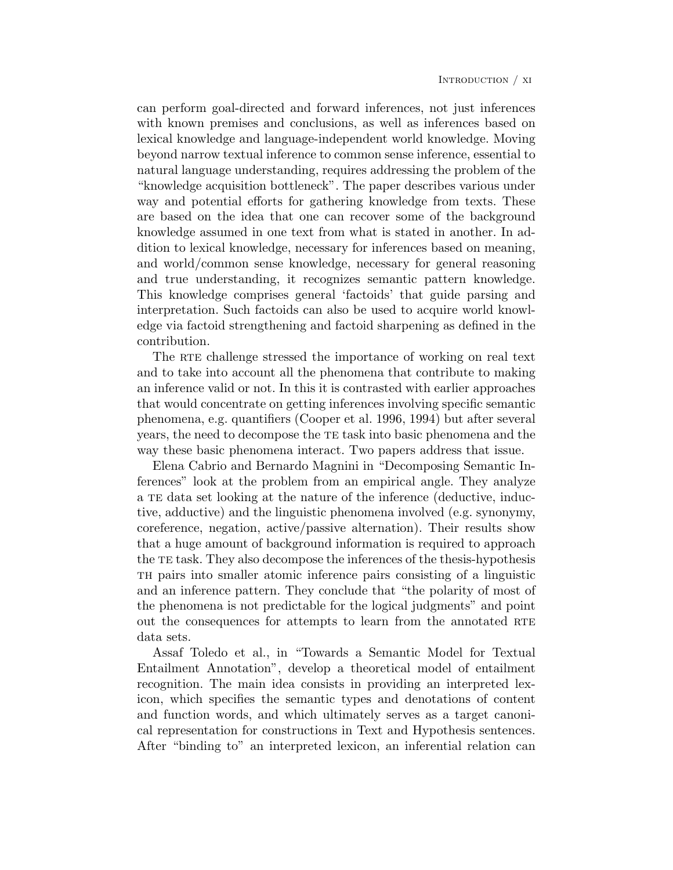can perform goal-directed and forward inferences, not just inferences with known premises and conclusions, as well as inferences based on lexical knowledge and language-independent world knowledge. Moving beyond narrow textual inference to common sense inference, essential to natural language understanding, requires addressing the problem of the "knowledge acquisition bottleneck". The paper describes various under way and potential efforts for gathering knowledge from texts. These are based on the idea that one can recover some of the background knowledge assumed in one text from what is stated in another. In addition to lexical knowledge, necessary for inferences based on meaning, and world/common sense knowledge, necessary for general reasoning and true understanding, it recognizes semantic pattern knowledge. This knowledge comprises general 'factoids' that guide parsing and interpretation. Such factoids can also be used to acquire world knowledge via factoid strengthening and factoid sharpening as defined in the contribution.

The RTE challenge stressed the importance of working on real text and to take into account all the phenomena that contribute to making an inference valid or not. In this it is contrasted with earlier approaches that would concentrate on getting inferences involving specific semantic phenomena, e.g. quantifiers (Cooper et al. 1996, 1994) but after several years, the need to decompose the TE task into basic phenomena and the way these basic phenomena interact. Two papers address that issue.

Elena Cabrio and Bernardo Magnini in "Decomposing Semantic Inferences" look at the problem from an empirical angle. They analyze a TE data set looking at the nature of the inference (deductive, inductive, adductive) and the linguistic phenomena involved (e.g. synonymy, coreference, negation, active/passive alternation). Their results show that a huge amount of background information is required to approach the TE task. They also decompose the inferences of the thesis-hypothesis th pairs into smaller atomic inference pairs consisting of a linguistic and an inference pattern. They conclude that "the polarity of most of the phenomena is not predictable for the logical judgments" and point out the consequences for attempts to learn from the annotated RTE data sets.

Assaf Toledo et al., in "Towards a Semantic Model for Textual Entailment Annotation", develop a theoretical model of entailment recognition. The main idea consists in providing an interpreted lexicon, which specifies the semantic types and denotations of content and function words, and which ultimately serves as a target canonical representation for constructions in Text and Hypothesis sentences. After "binding to" an interpreted lexicon, an inferential relation can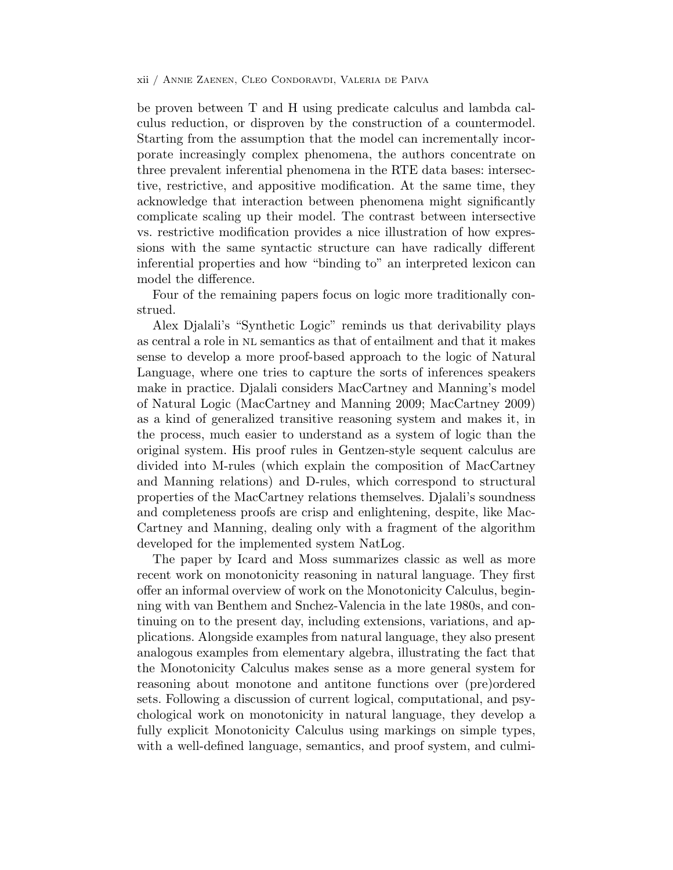### xii / Annie Zaenen, Cleo Condoravdi, Valeria de Paiva

be proven between T and H using predicate calculus and lambda calculus reduction, or disproven by the construction of a countermodel. Starting from the assumption that the model can incrementally incorporate increasingly complex phenomena, the authors concentrate on three prevalent inferential phenomena in the RTE data bases: intersective, restrictive, and appositive modification. At the same time, they acknowledge that interaction between phenomena might significantly complicate scaling up their model. The contrast between intersective vs. restrictive modification provides a nice illustration of how expressions with the same syntactic structure can have radically different inferential properties and how "binding to" an interpreted lexicon can model the difference.

Four of the remaining papers focus on logic more traditionally construed.

Alex Djalali's "Synthetic Logic" reminds us that derivability plays as central a role in NL semantics as that of entailment and that it makes sense to develop a more proof-based approach to the logic of Natural Language, where one tries to capture the sorts of inferences speakers make in practice. Djalali considers MacCartney and Manning's model of Natural Logic (MacCartney and Manning 2009; MacCartney 2009) as a kind of generalized transitive reasoning system and makes it, in the process, much easier to understand as a system of logic than the original system. His proof rules in Gentzen-style sequent calculus are divided into M-rules (which explain the composition of MacCartney and Manning relations) and D-rules, which correspond to structural properties of the MacCartney relations themselves. Djalali's soundness and completeness proofs are crisp and enlightening, despite, like Mac-Cartney and Manning, dealing only with a fragment of the algorithm developed for the implemented system NatLog.

The paper by Icard and Moss summarizes classic as well as more recent work on monotonicity reasoning in natural language. They first offer an informal overview of work on the Monotonicity Calculus, beginning with van Benthem and Snchez-Valencia in the late 1980s, and continuing on to the present day, including extensions, variations, and applications. Alongside examples from natural language, they also present analogous examples from elementary algebra, illustrating the fact that the Monotonicity Calculus makes sense as a more general system for reasoning about monotone and antitone functions over (pre)ordered sets. Following a discussion of current logical, computational, and psychological work on monotonicity in natural language, they develop a fully explicit Monotonicity Calculus using markings on simple types, with a well-defined language, semantics, and proof system, and culmi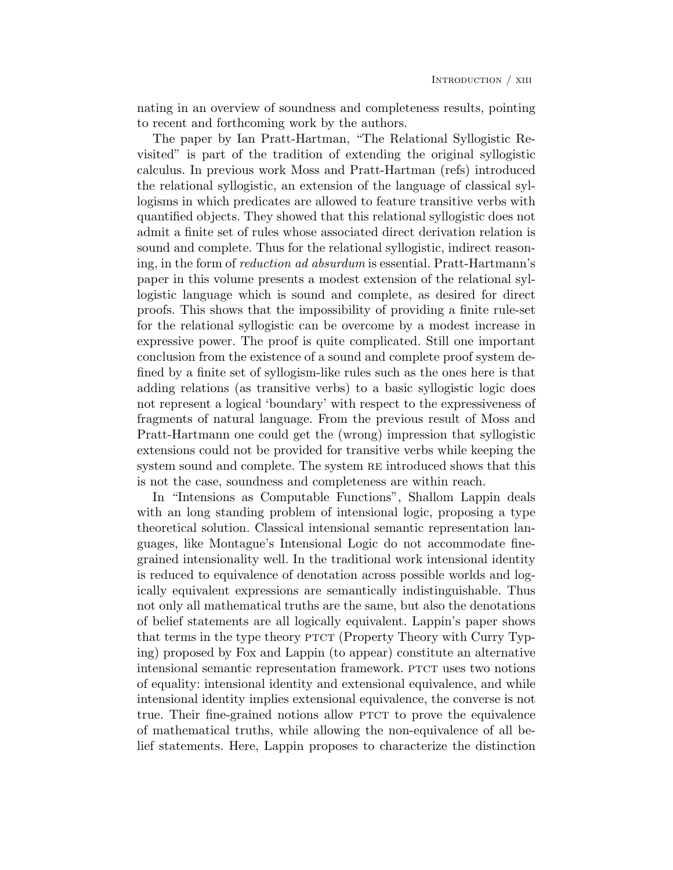nating in an overview of soundness and completeness results, pointing to recent and forthcoming work by the authors.

The paper by Ian Pratt-Hartman, "The Relational Syllogistic Revisited" is part of the tradition of extending the original syllogistic calculus. In previous work Moss and Pratt-Hartman (refs) introduced the relational syllogistic, an extension of the language of classical syllogisms in which predicates are allowed to feature transitive verbs with quantified objects. They showed that this relational syllogistic does not admit a finite set of rules whose associated direct derivation relation is sound and complete. Thus for the relational syllogistic, indirect reasoning, in the form of *reduction ad absurdum* is essential. Pratt-Hartmann's paper in this volume presents a modest extension of the relational syllogistic language which is sound and complete, as desired for direct proofs. This shows that the impossibility of providing a finite rule-set for the relational syllogistic can be overcome by a modest increase in expressive power. The proof is quite complicated. Still one important conclusion from the existence of a sound and complete proof system defined by a finite set of syllogism-like rules such as the ones here is that adding relations (as transitive verbs) to a basic syllogistic logic does not represent a logical 'boundary' with respect to the expressiveness of fragments of natural language. From the previous result of Moss and Pratt-Hartmann one could get the (wrong) impression that syllogistic extensions could not be provided for transitive verbs while keeping the system sound and complete. The system RE introduced shows that this is not the case, soundness and completeness are within reach.

In "Intensions as Computable Functions", Shallom Lappin deals with an long standing problem of intensional logic, proposing a type theoretical solution. Classical intensional semantic representation languages, like Montague's Intensional Logic do not accommodate finegrained intensionality well. In the traditional work intensional identity is reduced to equivalence of denotation across possible worlds and logically equivalent expressions are semantically indistinguishable. Thus not only all mathematical truths are the same, but also the denotations of belief statements are all logically equivalent. Lappin's paper shows that terms in the type theory PTCT (Property Theory with Curry Typing) proposed by Fox and Lappin (to appear) constitute an alternative intensional semantic representation framework. PTCT uses two notions of equality: intensional identity and extensional equivalence, and while intensional identity implies extensional equivalence, the converse is not true. Their fine-grained notions allow PTCT to prove the equivalence of mathematical truths, while allowing the non-equivalence of all belief statements. Here, Lappin proposes to characterize the distinction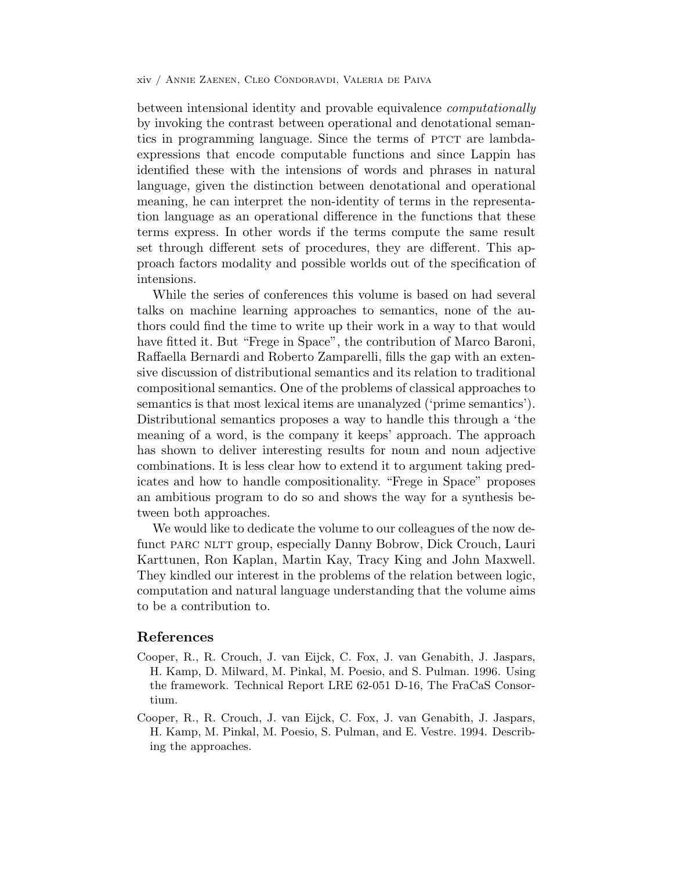#### xiv / Annie Zaenen, Cleo Condoravdi, Valeria de Paiva

between intensional identity and provable equivalence *computationally* by invoking the contrast between operational and denotational semantics in programming language. Since the terms of PTCT are lambdaexpressions that encode computable functions and since Lappin has identified these with the intensions of words and phrases in natural language, given the distinction between denotational and operational meaning, he can interpret the non-identity of terms in the representation language as an operational difference in the functions that these terms express. In other words if the terms compute the same result set through different sets of procedures, they are different. This approach factors modality and possible worlds out of the specification of intensions.

While the series of conferences this volume is based on had several talks on machine learning approaches to semantics, none of the authors could find the time to write up their work in a way to that would have fitted it. But "Frege in Space", the contribution of Marco Baroni, Raffaella Bernardi and Roberto Zamparelli, fills the gap with an extensive discussion of distributional semantics and its relation to traditional compositional semantics. One of the problems of classical approaches to semantics is that most lexical items are unanalyzed ('prime semantics'). Distributional semantics proposes a way to handle this through a 'the meaning of a word, is the company it keeps' approach. The approach has shown to deliver interesting results for noun and noun adjective combinations. It is less clear how to extend it to argument taking predicates and how to handle compositionality. "Frege in Space" proposes an ambitious program to do so and shows the way for a synthesis between both approaches.

We would like to dedicate the volume to our colleagues of the now defunct PARC NLTT group, especially Danny Bobrow, Dick Crouch, Lauri Karttunen, Ron Kaplan, Martin Kay, Tracy King and John Maxwell. They kindled our interest in the problems of the relation between logic, computation and natural language understanding that the volume aims to be a contribution to.

## References

- Cooper, R., R. Crouch, J. van Eijck, C. Fox, J. van Genabith, J. Jaspars, H. Kamp, D. Milward, M. Pinkal, M. Poesio, and S. Pulman. 1996. Using the framework. Technical Report LRE 62-051 D-16, The FraCaS Consortium.
- Cooper, R., R. Crouch, J. van Eijck, C. Fox, J. van Genabith, J. Jaspars, H. Kamp, M. Pinkal, M. Poesio, S. Pulman, and E. Vestre. 1994. Describing the approaches.